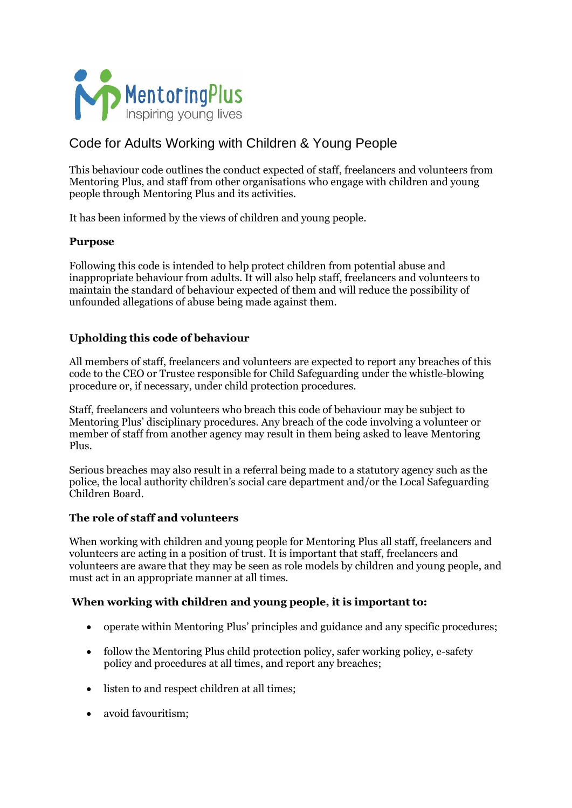

# Code for Adults Working with Children & Young People

This behaviour code outlines the conduct expected of staff, freelancers and volunteers from Mentoring Plus, and staff from other organisations who engage with children and young people through Mentoring Plus and its activities.

It has been informed by the views of children and young people.

#### **Purpose**

Following this code is intended to help protect children from potential abuse and inappropriate behaviour from adults. It will also help staff, freelancers and volunteers to maintain the standard of behaviour expected of them and will reduce the possibility of unfounded allegations of abuse being made against them.

## **Upholding this code of behaviour**

All members of staff, freelancers and volunteers are expected to report any breaches of this code to the CEO or Trustee responsible for Child Safeguarding under the whistle-blowing procedure or, if necessary, under child protection procedures.

Staff, freelancers and volunteers who breach this code of behaviour may be subject to Mentoring Plus' disciplinary procedures. Any breach of the code involving a volunteer or member of staff from another agency may result in them being asked to leave Mentoring Plus.

Serious breaches may also result in a referral being made to a statutory agency such as the police, the local authority children's social care department and/or the Local Safeguarding Children Board.

#### **The role of staff and volunteers**

When working with children and young people for Mentoring Plus all staff, freelancers and volunteers are acting in a position of trust. It is important that staff, freelancers and volunteers are aware that they may be seen as role models by children and young people, and must act in an appropriate manner at all times.

## **When working with children and young people, it is important to:**

- operate within Mentoring Plus' principles and guidance and any specific procedures;
- follow the Mentoring Plus child protection policy, safer working policy, e-safety policy and procedures at all times, and report any breaches;
- listen to and respect children at all times;
- avoid favouritism: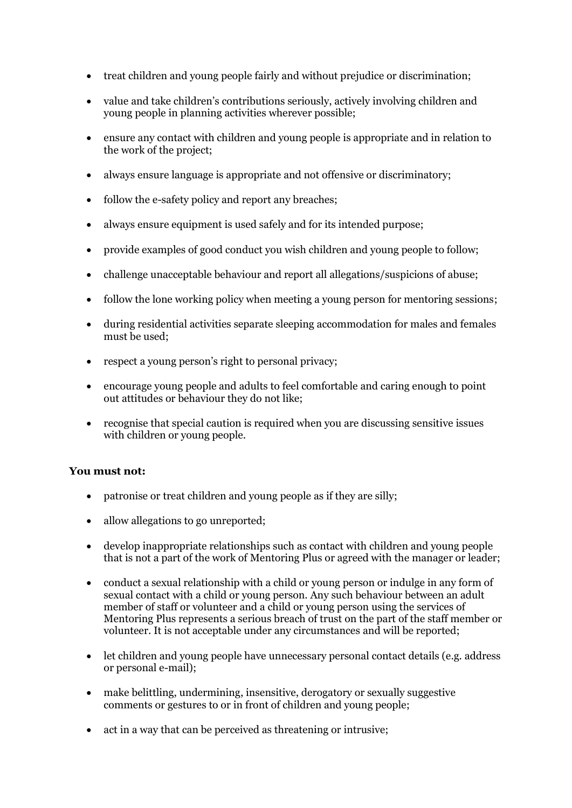- treat children and young people fairly and without prejudice or discrimination;
- value and take children's contributions seriously, actively involving children and young people in planning activities wherever possible;
- ensure any contact with children and young people is appropriate and in relation to the work of the project;
- always ensure language is appropriate and not offensive or discriminatory;
- follow the e-safety policy and report any breaches;
- always ensure equipment is used safely and for its intended purpose;
- provide examples of good conduct you wish children and young people to follow;
- challenge unacceptable behaviour and report all allegations/suspicions of abuse;
- follow the lone working policy when meeting a young person for mentoring sessions;
- during residential activities separate sleeping accommodation for males and females must be used;
- respect a young person's right to personal privacy;
- encourage young people and adults to feel comfortable and caring enough to point out attitudes or behaviour they do not like;
- recognise that special caution is required when you are discussing sensitive issues with children or young people.

## **You must not:**

- patronise or treat children and young people as if they are silly;
- allow allegations to go unreported;
- develop inappropriate relationships such as contact with children and young people that is not a part of the work of Mentoring Plus or agreed with the manager or leader;
- conduct a sexual relationship with a child or young person or indulge in any form of sexual contact with a child or young person. Any such behaviour between an adult member of staff or volunteer and a child or young person using the services of Mentoring Plus represents a serious breach of trust on the part of the staff member or volunteer. It is not acceptable under any circumstances and will be reported;
- let children and young people have unnecessary personal contact details (e.g. address or personal e-mail);
- make belittling, undermining, insensitive, derogatory or sexually suggestive comments or gestures to or in front of children and young people;
- act in a way that can be perceived as threatening or intrusive;